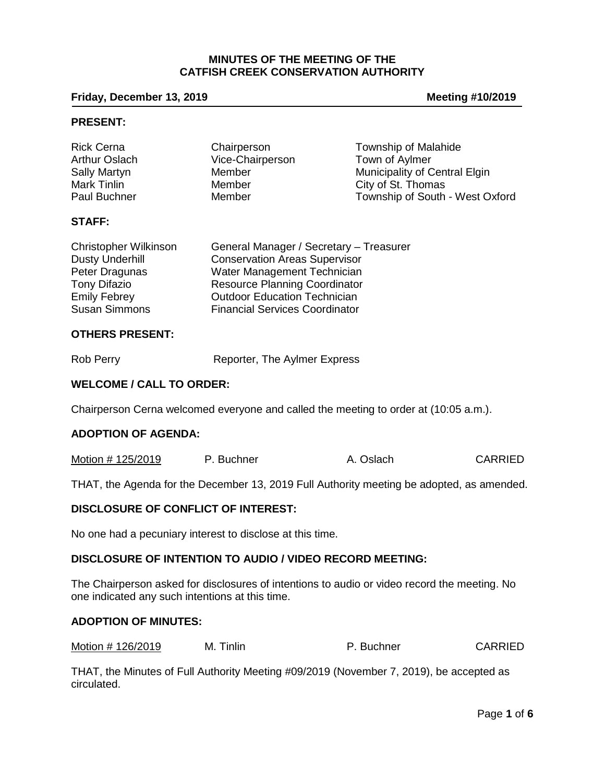## **MINUTES OF THE MEETING OF THE CATFISH CREEK CONSERVATION AUTHORITY**

## **Friday, December 13, 2019 Meeting #10/2019**

## **PRESENT:**

| <b>Rick Cerna</b>    | Chairperson      | Township of Malahide            |
|----------------------|------------------|---------------------------------|
| <b>Arthur Oslach</b> | Vice-Chairperson | Town of Aylmer                  |
| <b>Sally Martyn</b>  | Member           | Municipality of Central Elgin   |
| Mark Tinlin          | Member           | City of St. Thomas              |
| Paul Buchner         | Member           | Township of South - West Oxford |

### **STAFF:**

| <b>Christopher Wilkinson</b> | General Manager / Secretary - Treasurer |
|------------------------------|-----------------------------------------|
| <b>Dusty Underhill</b>       | <b>Conservation Areas Supervisor</b>    |
| Peter Dragunas               | Water Management Technician             |
| <b>Tony Difazio</b>          | <b>Resource Planning Coordinator</b>    |
| <b>Emily Febrey</b>          | <b>Outdoor Education Technician</b>     |
| <b>Susan Simmons</b>         | <b>Financial Services Coordinator</b>   |

### **OTHERS PRESENT:**

Rob Perry **Reporter**, The Aylmer Express

## **WELCOME / CALL TO ORDER:**

Chairperson Cerna welcomed everyone and called the meeting to order at (10:05 a.m.).

#### **ADOPTION OF AGENDA:**

| Motion # 125/2019 | P. Buchner | <b>CARRIED</b><br>A. Oslach |  |
|-------------------|------------|-----------------------------|--|
|-------------------|------------|-----------------------------|--|

THAT, the Agenda for the December 13, 2019 Full Authority meeting be adopted, as amended.

### **DISCLOSURE OF CONFLICT OF INTEREST:**

No one had a pecuniary interest to disclose at this time.

## **DISCLOSURE OF INTENTION TO AUDIO / VIDEO RECORD MEETING:**

The Chairperson asked for disclosures of intentions to audio or video record the meeting. No one indicated any such intentions at this time.

#### **ADOPTION OF MINUTES:**

Motion # 126/2019 M. Tinlin M. The P. Buchner CARRIED

THAT, the Minutes of Full Authority Meeting #09/2019 (November 7, 2019), be accepted as circulated.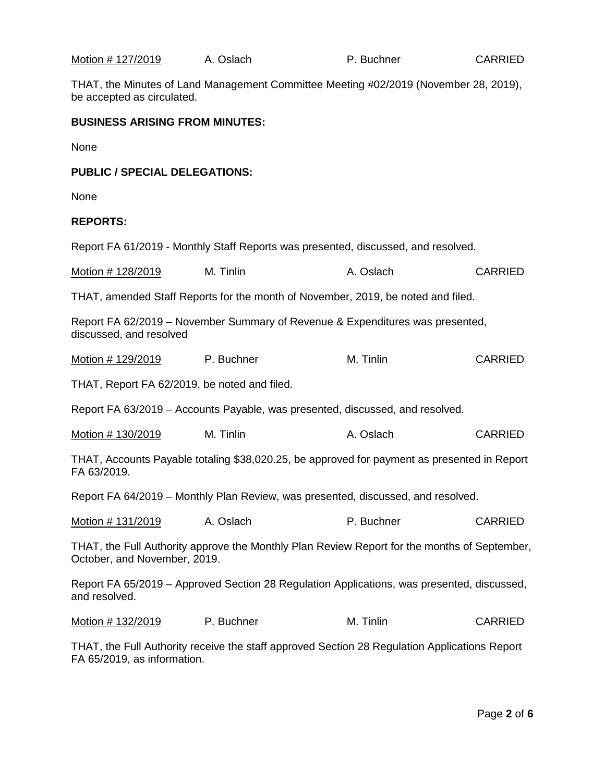| <u>Motion # 127/2019</u>                                                                                   | A. Oslach                                                                                     | P. Buchner | <b>CARRIED</b> |  |
|------------------------------------------------------------------------------------------------------------|-----------------------------------------------------------------------------------------------|------------|----------------|--|
| be accepted as circulated.                                                                                 | THAT, the Minutes of Land Management Committee Meeting #02/2019 (November 28, 2019),          |            |                |  |
| <b>BUSINESS ARISING FROM MINUTES:</b>                                                                      |                                                                                               |            |                |  |
| None                                                                                                       |                                                                                               |            |                |  |
| <b>PUBLIC / SPECIAL DELEGATIONS:</b>                                                                       |                                                                                               |            |                |  |
| None                                                                                                       |                                                                                               |            |                |  |
| <b>REPORTS:</b>                                                                                            |                                                                                               |            |                |  |
|                                                                                                            | Report FA 61/2019 - Monthly Staff Reports was presented, discussed, and resolved.             |            |                |  |
| Motion # 128/2019                                                                                          | M. Tinlin                                                                                     | A. Oslach  | <b>CARRIED</b> |  |
|                                                                                                            | THAT, amended Staff Reports for the month of November, 2019, be noted and filed.              |            |                |  |
| discussed, and resolved                                                                                    | Report FA 62/2019 - November Summary of Revenue & Expenditures was presented,                 |            |                |  |
| Motion # 129/2019                                                                                          | <b>P.</b> Buchner                                                                             | M. Tinlin  | <b>CARRIED</b> |  |
| THAT, Report FA 62/2019, be noted and filed.                                                               |                                                                                               |            |                |  |
|                                                                                                            | Report FA 63/2019 - Accounts Payable, was presented, discussed, and resolved.                 |            |                |  |
| Motion # 130/2019                                                                                          | M. Tinlin                                                                                     | A. Oslach  | <b>CARRIED</b> |  |
| THAT, Accounts Payable totaling \$38,020.25, be approved for payment as presented in Report<br>FA 63/2019. |                                                                                               |            |                |  |
|                                                                                                            | Report FA 64/2019 - Monthly Plan Review, was presented, discussed, and resolved.              |            |                |  |
| Motion # 131/2019                                                                                          | A. Oslach                                                                                     | P. Buchner | <b>CARRIED</b> |  |
| October, and November, 2019.                                                                               | THAT, the Full Authority approve the Monthly Plan Review Report for the months of September,  |            |                |  |
| and resolved.                                                                                              | Report FA 65/2019 – Approved Section 28 Regulation Applications, was presented, discussed,    |            |                |  |
| Motion # 132/2019                                                                                          | P. Buchner                                                                                    | M. Tinlin  | <b>CARRIED</b> |  |
| FA 65/2019, as information.                                                                                | THAT, the Full Authority receive the staff approved Section 28 Regulation Applications Report |            |                |  |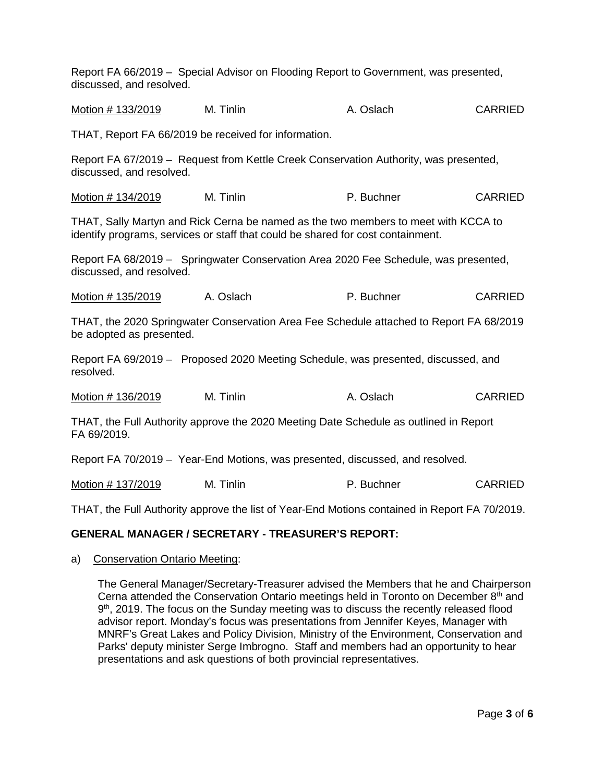Report FA 66/2019 – Special Advisor on Flooding Report to Government, was presented, discussed, and resolved.

Motion # 133/2019 M. Tinlin A. Oslach CARRIED

THAT, Report FA 66/2019 be received for information.

Report FA 67/2019 – Request from Kettle Creek Conservation Authority, was presented, discussed, and resolved.

| Motion # 134/2019 | M. Tinlin | P. Buchner | <b>CARRIED</b> |
|-------------------|-----------|------------|----------------|
|-------------------|-----------|------------|----------------|

THAT, Sally Martyn and Rick Cerna be named as the two members to meet with KCCA to identify programs, services or staff that could be shared for cost containment.

Report FA 68/2019 – Springwater Conservation Area 2020 Fee Schedule, was presented, discussed, and resolved.

Motion # 135/2019 A. Oslach B. Buchner P. Buchner CARRIED

THAT, the 2020 Springwater Conservation Area Fee Schedule attached to Report FA 68/2019 be adopted as presented.

Report FA 69/2019 – Proposed 2020 Meeting Schedule, was presented, discussed, and resolved.

| Motion # 136/2019 | M. Tinlin | A. Oslach | <b>CARRIED</b> |
|-------------------|-----------|-----------|----------------|
|-------------------|-----------|-----------|----------------|

THAT, the Full Authority approve the 2020 Meeting Date Schedule as outlined in Report FA 69/2019.

Report FA 70/2019 – Year-End Motions, was presented, discussed, and resolved.

Motion # 137/2019 M. Tinlin M. The P. Buchner CARRIED

THAT, the Full Authority approve the list of Year-End Motions contained in Report FA 70/2019.

## **GENERAL MANAGER / SECRETARY - TREASURER'S REPORT:**

a) Conservation Ontario Meeting:

The General Manager/Secretary-Treasurer advised the Members that he and Chairperson Cerna attended the Conservation Ontario meetings held in Toronto on December  $8<sup>th</sup>$  and 9th, 2019. The focus on the Sunday meeting was to discuss the recently released flood advisor report. Monday's focus was presentations from Jennifer Keyes, Manager with MNRF's Great Lakes and Policy Division, Ministry of the Environment, Conservation and Parks' deputy minister Serge Imbrogno. Staff and members had an opportunity to hear presentations and ask questions of both provincial representatives.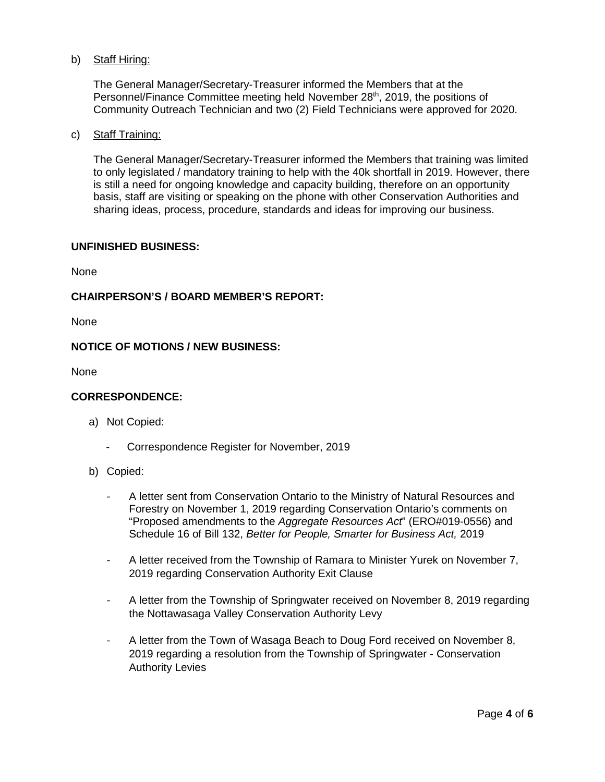# b) Staff Hiring:

The General Manager/Secretary-Treasurer informed the Members that at the Personnel/Finance Committee meeting held November 28<sup>th</sup>, 2019, the positions of Community Outreach Technician and two (2) Field Technicians were approved for 2020.

## c) Staff Training:

The General Manager/Secretary-Treasurer informed the Members that training was limited to only legislated / mandatory training to help with the 40k shortfall in 2019. However, there is still a need for ongoing knowledge and capacity building, therefore on an opportunity basis, staff are visiting or speaking on the phone with other Conservation Authorities and sharing ideas, process, procedure, standards and ideas for improving our business.

### **UNFINISHED BUSINESS:**

None

## **CHAIRPERSON'S / BOARD MEMBER'S REPORT:**

None

## **NOTICE OF MOTIONS / NEW BUSINESS:**

None

## **CORRESPONDENCE:**

- a) Not Copied:
	- Correspondence Register for November, 2019
- b) Copied:
	- A letter sent from Conservation Ontario to the Ministry of Natural Resources and Forestry on November 1, 2019 regarding Conservation Ontario's comments on "Proposed amendments to the *Aggregate Resources Act*" (ERO#019-0556) and Schedule 16 of Bill 132, *Better for People, Smarter for Business Act,* 2019
	- A letter received from the Township of Ramara to Minister Yurek on November 7, 2019 regarding Conservation Authority Exit Clause
	- A letter from the Township of Springwater received on November 8, 2019 regarding the Nottawasaga Valley Conservation Authority Levy
	- A letter from the Town of Wasaga Beach to Doug Ford received on November 8, 2019 regarding a resolution from the Township of Springwater - Conservation Authority Levies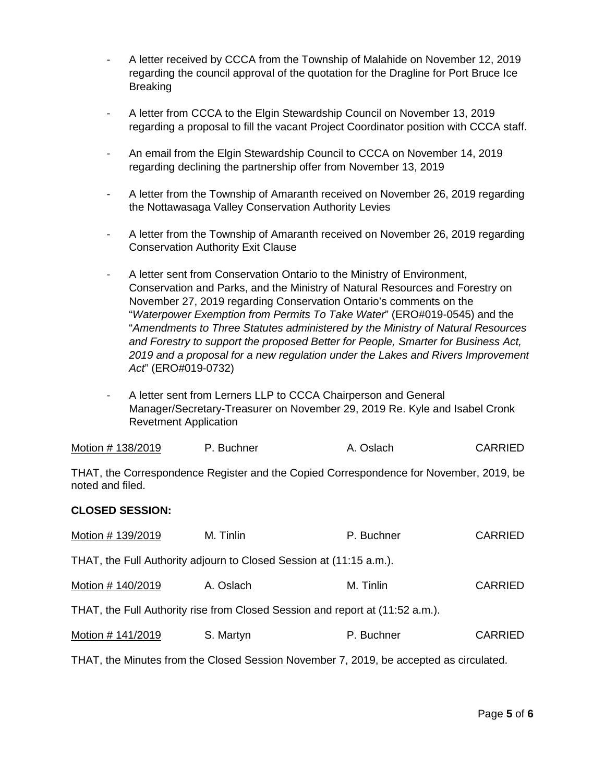- A letter received by CCCA from the Township of Malahide on November 12, 2019 regarding the council approval of the quotation for the Dragline for Port Bruce Ice **Breaking**
- A letter from CCCA to the Elgin Stewardship Council on November 13, 2019 regarding a proposal to fill the vacant Project Coordinator position with CCCA staff.
- An email from the Elgin Stewardship Council to CCCA on November 14, 2019 regarding declining the partnership offer from November 13, 2019
- A letter from the Township of Amaranth received on November 26, 2019 regarding the Nottawasaga Valley Conservation Authority Levies
- A letter from the Township of Amaranth received on November 26, 2019 regarding Conservation Authority Exit Clause
- A letter sent from Conservation Ontario to the Ministry of Environment, Conservation and Parks, and the Ministry of Natural Resources and Forestry on November 27, 2019 regarding Conservation Ontario's comments on the "*Waterpower Exemption from Permits To Take Water*" (ERO#019-0545) and the "*Amendments to Three Statutes administered by the Ministry of Natural Resources and Forestry to support the proposed Better for People, Smarter for Business Act, 2019 and a proposal for a new regulation under the Lakes and Rivers Improvement Act*" (ERO#019-0732)
- A letter sent from Lerners LLP to CCCA Chairperson and General Manager/Secretary-Treasurer on November 29, 2019 Re. Kyle and Isabel Cronk Revetment Application

| Motion # 138/2019 | P. Buchner | A. Oslach | <b>CARRIED</b> |
|-------------------|------------|-----------|----------------|
|-------------------|------------|-----------|----------------|

THAT, the Correspondence Register and the Copied Correspondence for November, 2019, be noted and filed.

## **CLOSED SESSION:**

| Motion #139/2019  | M. Tinlin                                                                     | P. Buchner | <b>CARRIED</b> |
|-------------------|-------------------------------------------------------------------------------|------------|----------------|
|                   | THAT, the Full Authority adjourn to Closed Session at (11:15 a.m.).           |            |                |
| Motion #140/2019  | A. Oslach                                                                     | M. Tinlin  | <b>CARRIED</b> |
|                   | THAT, the Full Authority rise from Closed Session and report at (11:52 a.m.). |            |                |
| Motion # 141/2019 | S. Martyn                                                                     | P. Buchner | <b>CARRIED</b> |

THAT, the Minutes from the Closed Session November 7, 2019, be accepted as circulated.